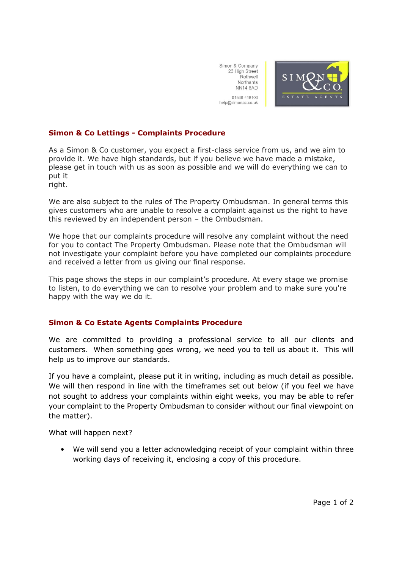Simon & Company 23 High Street Rothwell Northants **NN14 6AD** 01536 418100 help@simonac.co.uk



## **Simon & Co Lettings - Complaints Procedure**

As a Simon & Co customer, you expect a first-class service from us, and we aim to provide it. We have high standards, but if you believe we have made a mistake, please get in touch with us as soon as possible and we will do everything we can to put it

right.

We are also subject to the rules of The Property Ombudsman. In general terms this gives customers who are unable to resolve a complaint against us the right to have this reviewed by an independent person – the Ombudsman.

We hope that our complaints procedure will resolve any complaint without the need for you to contact The Property Ombudsman. Please note that the Ombudsman will not investigate your complaint before you have completed our complaints procedure and received a letter from us giving our final response.

This page shows the steps in our complaint's procedure. At every stage we promise to listen, to do everything we can to resolve your problem and to make sure you're happy with the way we do it.

## **Simon & Co Estate Agents Complaints Procedure**

We are committed to providing a professional service to all our clients and customers. When something goes wrong, we need you to tell us about it. This will help us to improve our standards.

If you have a complaint, please put it in writing, including as much detail as possible. We will then respond in line with the timeframes set out below (if you feel we have not sought to address your complaints within eight weeks, you may be able to refer your complaint to the Property Ombudsman to consider without our final viewpoint on the matter).

What will happen next?

• We will send you a letter acknowledging receipt of your complaint within three working days of receiving it, enclosing a copy of this procedure.